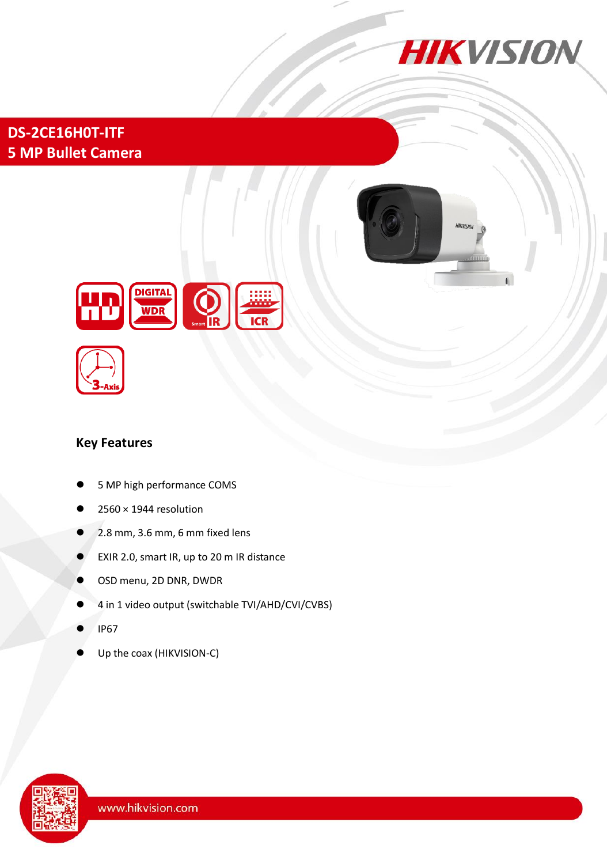

**DS-2CE16H0T-ITF 5 MP Bullet Camera**





### **Key Features**

- 5 MP high performance COMS
- 2560 × 1944 resolution
- 2.8 mm, 3.6 mm, 6 mm fixed lens
- EXIR 2.0, smart IR, up to 20 m IR distance
- OSD menu, 2D DNR, DWDR
- 4 in 1 video output (switchable TVI/AHD/CVI/CVBS)
- IP67
- Up the coax (HIKVISION-C)

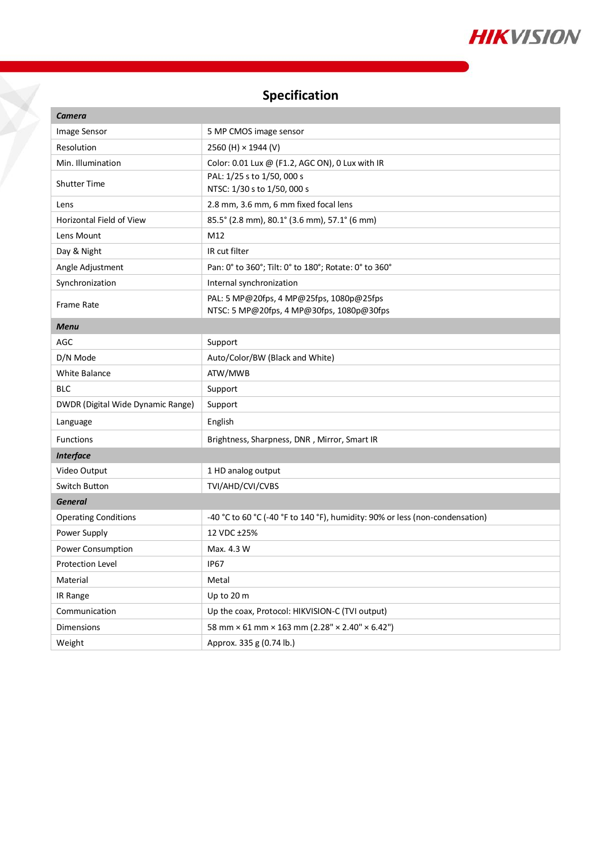

## **Specification**

 $\check{\chi}$ 

| <b>Camera</b>                     |                                                                                       |
|-----------------------------------|---------------------------------------------------------------------------------------|
| Image Sensor                      | 5 MP CMOS image sensor                                                                |
| Resolution                        | 2560 (H) × 1944 (V)                                                                   |
| Min. Illumination                 | Color: 0.01 Lux @ (F1.2, AGC ON), 0 Lux with IR                                       |
| <b>Shutter Time</b>               | PAL: 1/25 s to 1/50, 000 s<br>NTSC: 1/30 s to 1/50, 000 s                             |
| Lens                              | 2.8 mm, 3.6 mm, 6 mm fixed focal lens                                                 |
| Horizontal Field of View          | 85.5° (2.8 mm), 80.1° (3.6 mm), 57.1° (6 mm)                                          |
| Lens Mount                        | M12                                                                                   |
| Day & Night                       | IR cut filter                                                                         |
| Angle Adjustment                  | Pan: 0° to 360°; Tilt: 0° to 180°; Rotate: 0° to 360°                                 |
| Synchronization                   | Internal synchronization                                                              |
| Frame Rate                        | PAL: 5 MP@20fps, 4 MP@25fps, 1080p@25fps<br>NTSC: 5 MP@20fps, 4 MP@30fps, 1080p@30fps |
| <b>Menu</b>                       |                                                                                       |
| AGC                               | Support                                                                               |
| D/N Mode                          | Auto/Color/BW (Black and White)                                                       |
| <b>White Balance</b>              | ATW/MWB                                                                               |
| <b>BLC</b>                        | Support                                                                               |
| DWDR (Digital Wide Dynamic Range) | Support                                                                               |
| Language                          | English                                                                               |
| <b>Functions</b>                  | Brightness, Sharpness, DNR, Mirror, Smart IR                                          |
| <b>Interface</b>                  |                                                                                       |
| Video Output                      | 1 HD analog output                                                                    |
| Switch Button                     | TVI/AHD/CVI/CVBS                                                                      |
| <b>General</b>                    |                                                                                       |
| <b>Operating Conditions</b>       | -40 °C to 60 °C (-40 °F to 140 °F), humidity: 90% or less (non-condensation)          |
| Power Supply                      | 12 VDC ±25%                                                                           |
| <b>Power Consumption</b>          | Max. 4.3 W                                                                            |
| <b>Protection Level</b>           | <b>IP67</b>                                                                           |
| Material                          | Metal                                                                                 |
| IR Range                          | Up to 20 m                                                                            |
| Communication                     | Up the coax, Protocol: HIKVISION-C (TVI output)                                       |
| Dimensions                        | 58 mm × 61 mm × 163 mm (2.28" × 2.40" × 6.42")                                        |
| Weight                            | Approx. 335 g (0.74 lb.)                                                              |